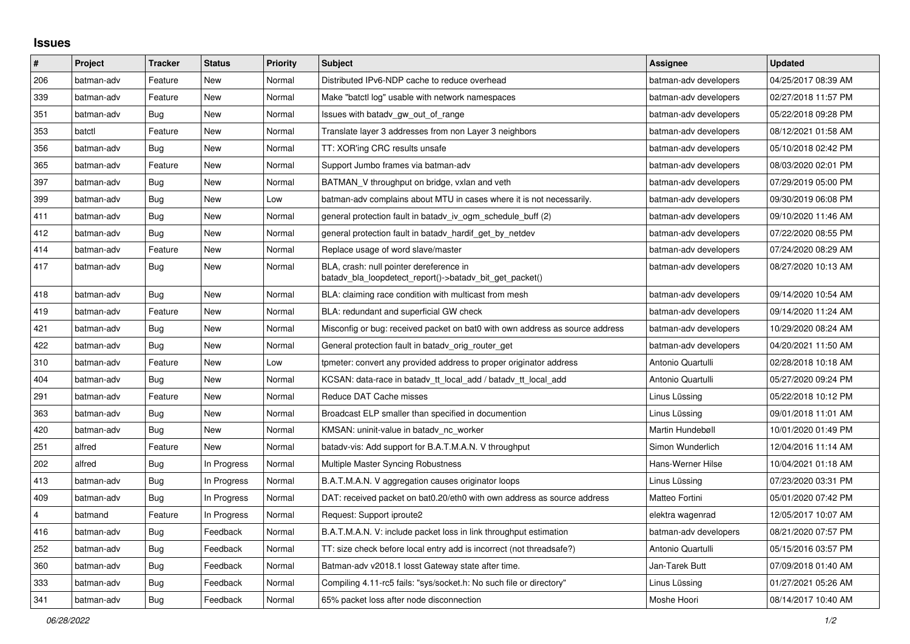## **Issues**

| $\vert$ #      | Project    | <b>Tracker</b> | <b>Status</b> | <b>Priority</b> | <b>Subject</b>                                                                                     | Assignee              | <b>Updated</b>      |
|----------------|------------|----------------|---------------|-----------------|----------------------------------------------------------------------------------------------------|-----------------------|---------------------|
| 206            | batman-adv | Feature        | New           | Normal          | Distributed IPv6-NDP cache to reduce overhead                                                      | batman-adv developers | 04/25/2017 08:39 AM |
| 339            | batman-adv | Feature        | New           | Normal          | Make "batctl log" usable with network namespaces                                                   | batman-adv developers | 02/27/2018 11:57 PM |
| 351            | batman-adv | Bug            | New           | Normal          | Issues with batadv_gw_out_of_range                                                                 | batman-adv developers | 05/22/2018 09:28 PM |
| 353            | batctl     | Feature        | New           | Normal          | Translate layer 3 addresses from non Layer 3 neighbors                                             | batman-adv developers | 08/12/2021 01:58 AM |
| 356            | batman-adv | Bug            | New           | Normal          | TT: XOR'ing CRC results unsafe                                                                     | batman-adv developers | 05/10/2018 02:42 PM |
| 365            | batman-adv | Feature        | New           | Normal          | Support Jumbo frames via batman-adv                                                                | batman-adv developers | 08/03/2020 02:01 PM |
| 397            | batman-adv | Bug            | New           | Normal          | BATMAN V throughput on bridge, vxlan and veth                                                      | batman-adv developers | 07/29/2019 05:00 PM |
| 399            | batman-adv | Bug            | New           | Low             | batman-adv complains about MTU in cases where it is not necessarily.                               | batman-adv developers | 09/30/2019 06:08 PM |
| 411            | batman-adv | Bug            | New           | Normal          | general protection fault in batady iv ogm schedule buff (2)                                        | batman-adv developers | 09/10/2020 11:46 AM |
| 412            | batman-adv | Bug            | New           | Normal          | general protection fault in batady hardif get by netdev                                            | batman-adv developers | 07/22/2020 08:55 PM |
| 414            | batman-adv | Feature        | New           | Normal          | Replace usage of word slave/master                                                                 | batman-adv developers | 07/24/2020 08:29 AM |
| 417            | batman-adv | Bug            | <b>New</b>    | Normal          | BLA, crash: null pointer dereference in<br>batadv_bla_loopdetect_report()->batadv_bit_get_packet() | batman-adv developers | 08/27/2020 10:13 AM |
| 418            | batman-adv | Bug            | New           | Normal          | BLA: claiming race condition with multicast from mesh                                              | batman-adv developers | 09/14/2020 10:54 AM |
| 419            | batman-adv | Feature        | <b>New</b>    | Normal          | BLA: redundant and superficial GW check                                                            | batman-adv developers | 09/14/2020 11:24 AM |
| 421            | batman-adv | Bug            | New           | Normal          | Misconfig or bug: received packet on bat0 with own address as source address                       | batman-adv developers | 10/29/2020 08:24 AM |
| 422            | batman-adv | Bug            | New           | Normal          | General protection fault in batady_orig_router_get                                                 | batman-adv developers | 04/20/2021 11:50 AM |
| 310            | batman-adv | Feature        | New           | Low             | tpmeter: convert any provided address to proper originator address                                 | Antonio Quartulli     | 02/28/2018 10:18 AM |
| 404            | batman-adv | Bug            | New           | Normal          | KCSAN: data-race in batadv tt local add / batadv tt local add                                      | Antonio Quartulli     | 05/27/2020 09:24 PM |
| 291            | batman-adv | Feature        | New           | Normal          | Reduce DAT Cache misses                                                                            | Linus Lüssing         | 05/22/2018 10:12 PM |
| 363            | batman-adv | Bug            | New           | Normal          | Broadcast ELP smaller than specified in documention                                                | Linus Lüssing         | 09/01/2018 11:01 AM |
| 420            | batman-adv | Bug            | New           | Normal          | KMSAN: uninit-value in batady nc worker                                                            | Martin Hundebøll      | 10/01/2020 01:49 PM |
| 251            | alfred     | Feature        | New           | Normal          | batady-vis: Add support for B.A.T.M.A.N. V throughput                                              | Simon Wunderlich      | 12/04/2016 11:14 AM |
| 202            | alfred     | Bug            | In Progress   | Normal          | Multiple Master Syncing Robustness                                                                 | Hans-Werner Hilse     | 10/04/2021 01:18 AM |
| 413            | batman-adv | Bug            | In Progress   | Normal          | B.A.T.M.A.N. V aggregation causes originator loops                                                 | Linus Lüssing         | 07/23/2020 03:31 PM |
| 409            | batman-adv | Bug            | In Progress   | Normal          | DAT: received packet on bat0.20/eth0 with own address as source address                            | Matteo Fortini        | 05/01/2020 07:42 PM |
| $\overline{4}$ | batmand    | Feature        | In Progress   | Normal          | Request: Support iproute2                                                                          | elektra wagenrad      | 12/05/2017 10:07 AM |
| 416            | batman-adv | Bug            | Feedback      | Normal          | B.A.T.M.A.N. V: include packet loss in link throughput estimation                                  | batman-adv developers | 08/21/2020 07:57 PM |
| 252            | batman-adv | <b>Bug</b>     | Feedback      | Normal          | TT: size check before local entry add is incorrect (not threadsafe?)                               | Antonio Quartulli     | 05/15/2016 03:57 PM |
| 360            | batman-adv | Bug            | Feedback      | Normal          | Batman-adv v2018.1 losst Gateway state after time.                                                 | Jan-Tarek Butt        | 07/09/2018 01:40 AM |
| 333            | batman-adv | Bug            | Feedback      | Normal          | Compiling 4.11-rc5 fails: "sys/socket.h: No such file or directory"                                | Linus Lüssing         | 01/27/2021 05:26 AM |
| 341            | batman-adv | Bug            | Feedback      | Normal          | 65% packet loss after node disconnection                                                           | Moshe Hoori           | 08/14/2017 10:40 AM |